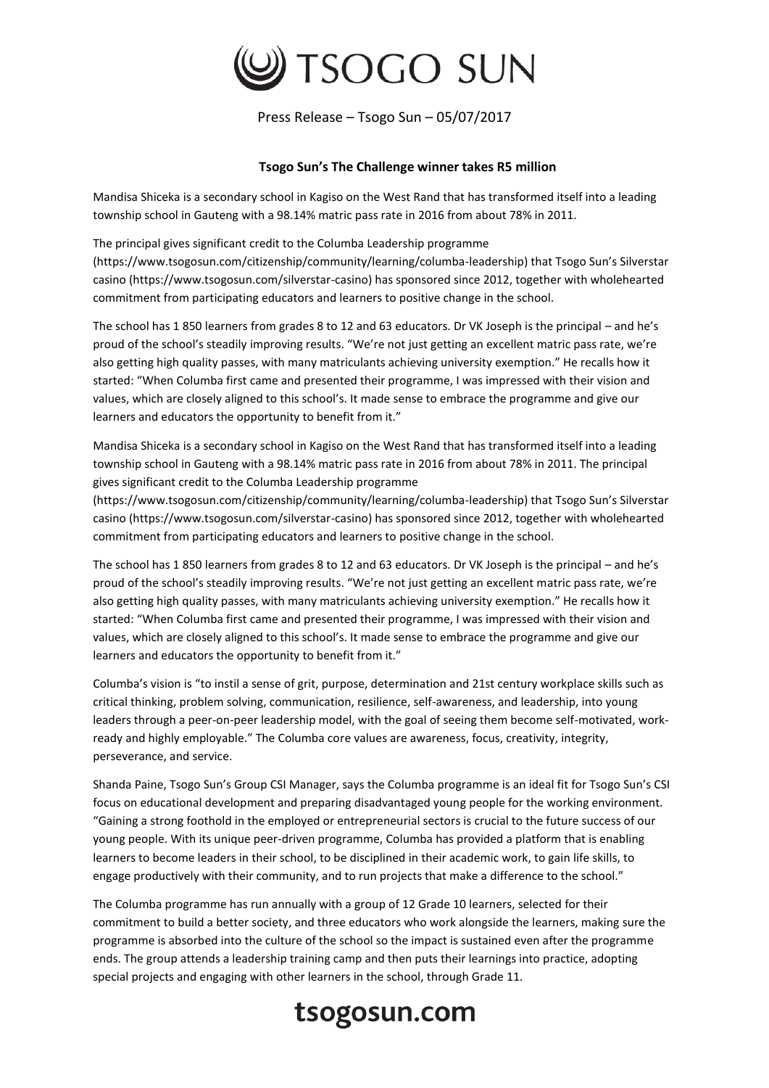

Press Release – Tsogo Sun – 05/07/2017

## **Tsogo Sun's The Challenge winner takes R5 million**

Mandisa Shiceka is a secondary school in Kagiso on the West Rand that has transformed itself into a leading township school in Gauteng with a 98.14% matric pass rate in 2016 from about 78% in 2011.

The principal gives significant credit to the Columba Leadership programme (https://www.tsogosun.com/citizenship/community/learning/columba-leadership) that Tsogo Sun's Silverstar casino (https://www.tsogosun.com/silverstar-casino) has sponsored since 2012, together with wholehearted commitment from participating educators and learners to positive change in the school.

The school has 1 850 learners from grades 8 to 12 and 63 educators. Dr VK Joseph is the principal – and he's proud of the school's steadily improving results. "We're not just getting an excellent matric pass rate, we're also getting high quality passes, with many matriculants achieving university exemption." He recalls how it started: "When Columba first came and presented their programme, I was impressed with their vision and values, which are closely aligned to this school's. It made sense to embrace the programme and give our learners and educators the opportunity to benefit from it."

Mandisa Shiceka is a secondary school in Kagiso on the West Rand that has transformed itself into a leading township school in Gauteng with a 98.14% matric pass rate in 2016 from about 78% in 2011. The principal gives significant credit to the Columba Leadership programme

(https://www.tsogosun.com/citizenship/community/learning/columba-leadership) that Tsogo Sun's Silverstar casino (https://www.tsogosun.com/silverstar-casino) has sponsored since 2012, together with wholehearted commitment from participating educators and learners to positive change in the school.

The school has 1 850 learners from grades 8 to 12 and 63 educators. Dr VK Joseph is the principal – and he's proud of the school's steadily improving results. "We're not just getting an excellent matric pass rate, we're also getting high quality passes, with many matriculants achieving university exemption." He recalls how it started: "When Columba first came and presented their programme, I was impressed with their vision and values, which are closely aligned to this school's. It made sense to embrace the programme and give our learners and educators the opportunity to benefit from it."

Columba's vision is "to instil a sense of grit, purpose, determination and 21st century workplace skills such as critical thinking, problem solving, communication, resilience, self-awareness, and leadership, into young leaders through a peer-on-peer leadership model, with the goal of seeing them become self-motivated, workready and highly employable." The Columba core values are awareness, focus, creativity, integrity, perseverance, and service.

Shanda Paine, Tsogo Sun's Group CSI Manager, says the Columba programme is an ideal fit for Tsogo Sun's CSI focus on educational development and preparing disadvantaged young people for the working environment. "Gaining a strong foothold in the employed or entrepreneurial sectors is crucial to the future success of our young people. With its unique peer-driven programme, Columba has provided a platform that is enabling learners to become leaders in their school, to be disciplined in their academic work, to gain life skills, to engage productively with their community, and to run projects that make a difference to the school."

The Columba programme has run annually with a group of 12 Grade 10 learners, selected for their commitment to build a better society, and three educators who work alongside the learners, making sure the programme is absorbed into the culture of the school so the impact is sustained even after the programme ends. The group attends a leadership training camp and then puts their learnings into practice, adopting special projects and engaging with other learners in the school, through Grade 11.

## tsogosun.com